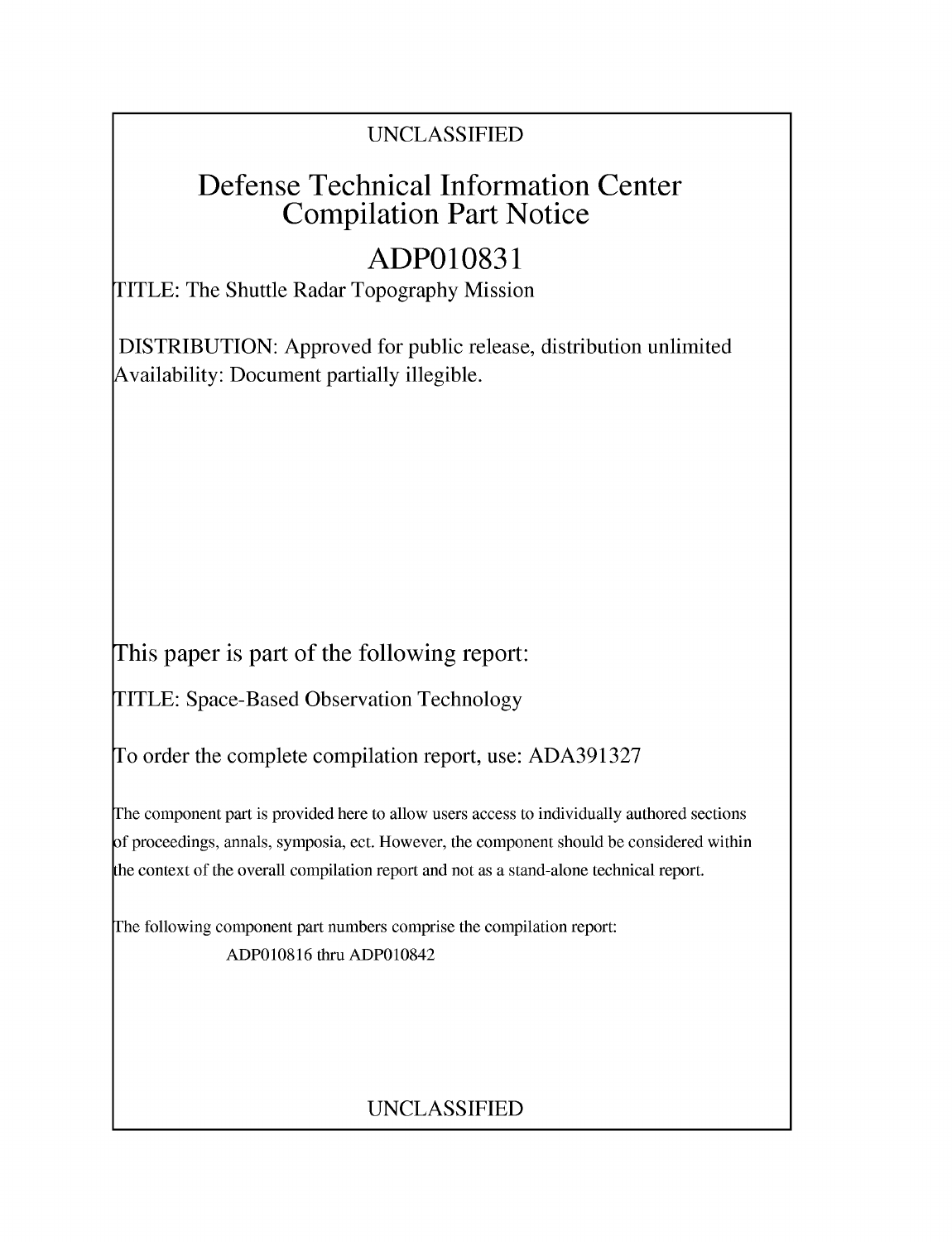#### UNCLASSIFIED

## Defense Technical Information Center Compilation Part Notice

# **ADPO10831**

TITLE: The Shuttle Radar Topography Mission

DISTRIBUTION: Approved for public release, distribution unlimited Availability: Document partially illegible.

This paper is part of the following report:

TITLE: Space-Based Observation Technology

To order the complete compilation report, use: ADA391327

The component part is provided here to allow users access to individually authored sections f proceedings, annals, symposia, ect. However, the component should be considered within he context of the overall compilation report and not as a stand-alone technical report.

The following component part numbers comprise the compilation report: ADPO10816 thru ADPO10842

### UNCLASSIFIED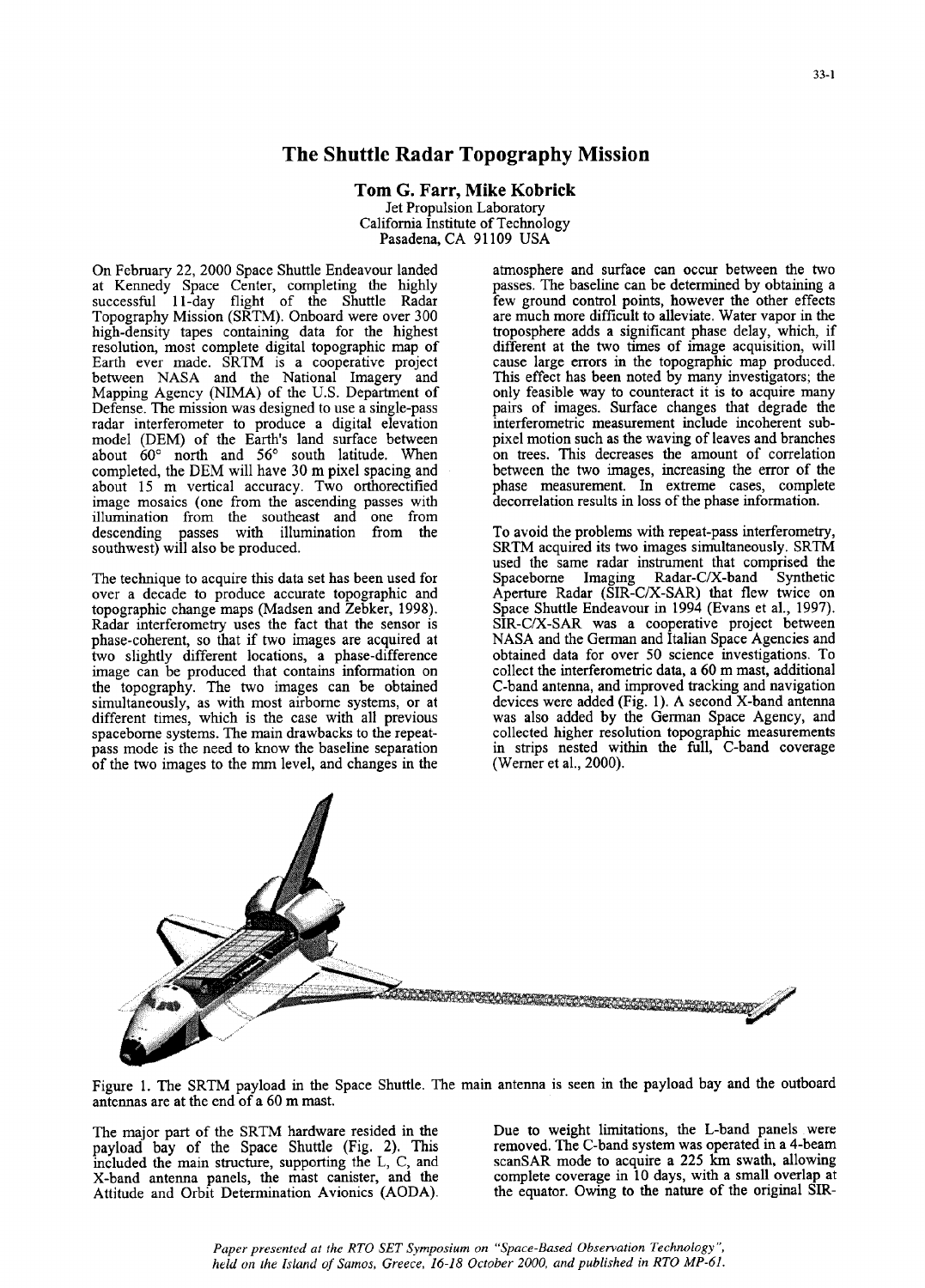#### The Shuttle Radar Topography Mission

Tom **G.** Farr, Mike Kobrick Jet Propulsion Laboratory California Institute of Technology Pasadena, CA 91109 USA

On February 22, 2000 Space Shuttle Endeavour landed atmosphere and surface can occur between the two at Kennedy Space Center, completing the highly passes. The baseline can be determined by obtaining a at Kennedy Space Center, completing the highly passes. The baseline can be determined by obtaining a successful 11-day flight of the Shuttle Radar few ground control points, however the other effects Topography Mission (SRTM). Onboard were over 300 are much more difficult to alleviate. Water vapor in the high-density tapes containing data for the highest troposphere adds a significant phase delay, which, if resolution, most complete digital topographic map of different at the two times of image acquisition, will Earth ever made. SRTM is a cooperative project cause large errors in the topographic map produced. between NASA and the National Imagery and This effect has been noted by many investigators; the Mapping Agency (NIMA) of the U.S. Department of only feasible way to counteract it is to acquire many Defense. The mission was designed to use a single-pass pairs of images. Surface changes that degrade the radar interferometer to produce a digital elevation interferometric measurement include incoherent subradar interferometer to produce a digital elevation interferometric measurement include incoherent sub-<br>model (DEM) of the Earth's land surface between pixel motion such as the waving of leaves and branches model (DEM) of the Earth's land surface between pixel motion such as the waving of leaves and branches about  $60^{\circ}$  north and  $56^{\circ}$  south latitude. When on trees. This decreases the amount of correlation about **600** north and **56'** south latitude. When on trees. This decreases the amount of correlation completed, the DEM will have 30 m pixel spacing and between the two images, increasing the error of the about 15 m vertical accuracy. Two orthorectified phase measurement. In extreme cases, complete image mosaics (one from the ascending passes with decorrelation results in loss of the phase information. image mosaics (one from the ascending passes with illumination from the southeast and one from descending passes with illumination from the To avoid the problems with repeat-pass interferometry, southwest) will also be produced. SRTM acquired its two images simultaneously. SRTM

The technique to acquire this data set has been used for Spaceborne Imaging Radar-C/X-band Synthetic over a decade to produce accurate topographic and topographic change maps (Madsen and Zebker, 1998). Space Shuttle Endeavour in 1994 (Evans et al., 1997). Radar interferometry uses the fact that the sensor is SIR-C/X-SAR was a cooperative project between phase-coherent, so that if two images are acquired at NASA and the German and Italian Space Agencies and phase-coherent, so that if two images are acquired at NASA and the German and Italian Space Agencies and two slightly different locations, a phase-difference obtained data for over 50 science investigations. To two slightly different locations, a phase-difference obtained data for over 50 science investigations. To image can be produced that contains information on collect the interferometric data, a 60 m mast, additional image can be produced that contains information on the topography. The two images can be obtained C-band antenna, and improved tracking and navigation simultaneously, as with most airborne systems, or at devices were added (Fig. 1). A second X-band antenna simultaneously, as with most airborne systems, or at devices were added (Fig. 1). A second X-band antenna<br>different times, which is the case with all previous was also added by the German Space Agency, and different times, which is the case with all previous spaceborne systems. The main drawbacks to the repeatpass mode is the need to know the baseline separation in strips nested with the full, C-band coverage in the full, C-band coverage in the full, C-band coverage in the full, C-band coverage in the full, C-band coverage in t of the two images to the mm level, and changes in the

different at the two times of image acquisition, will cause large errors in the topographic map produced.

SRTM acquired its two images simultaneously. SRTM used the same radar instrument that comprised the collected higher resolution topographic measurements<br>in strips nested within the full, C-band coverage



Figure 1. The SRTM payload in the Space Shuttle. The main antenna is seen in the payload bay and the outboard antennas are at the end of a 60 m mast.

payload bay of the Space Shuttle (Fig. 2). This included the main structure, supporting the L, C, and X-band antenna panels, the mast canister, and the Attitude and Orbit Determination Avionics (AODA). the equator. Owing to the nature of the original SIR-

The major part of the SRTM hardware resided in the Due to weight limitations, the L-band panels were<br>payload bay of the Space Shuttle (Fig. 2). This removed. The C-band system was operated in a 4-beam scanSAR mode to acquire a 225 km swath, allowing complete coverage in 10 days, with a small overlap at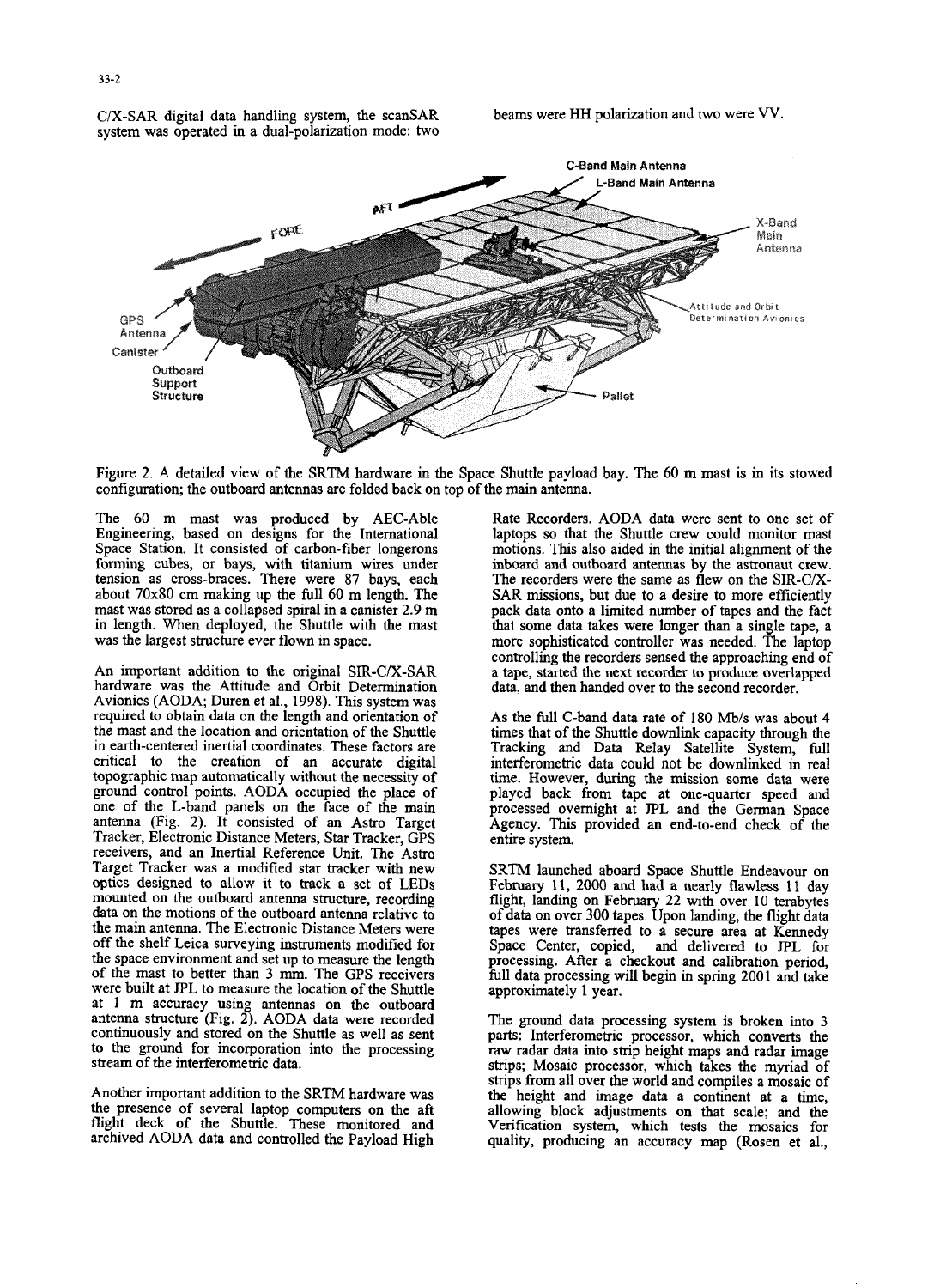C/X-SAR digital data handling system, the scanSAR beams were HH polarization and two were VV.



Figure 2. A detailed view of the SRTM hardware im the Space Shuttle payload bay. The 60 m mast is in its stowed configuration; the outboard antennas are folded back on top of the main antenna.

Engineering, based on designs for the International laptops so that the Shuttle crew could monitor mast Space Station. It consisted of carbon-fiber longerons motions. This also aided in the initial alignment of the forming cubes, or bays, with titanium wires under inboard and outboard antennas by the astronaut crew. tension as cross-braces. There were 87 bays, each The recorders were the same as flew on the SIR-C/Xdension as cross-paraces, inter were  $\delta/2$  pays, each  $\epsilon$  inter recorders were the same as flew on the SAR missions, but due to a desire to more efficiently about  $70x80$  cm making up the full 60 m length. The SAR missions, but due to a desire to more efficiently mast was stored as a collapsed spiral in a canister  $2.9$  m pack data onto a limited number of tapes and the fact

Avionics (AODA; Duren et al., 1998). This system was required to the length and orientation of As the full C-band data rate of 180 Mb/s was about 4 tequired to obtain data on the length and orientation of the Shuttle times that of the Shuttle downlink capacity through the Shuttle times that of the Shuttle downlink capacity through the Shuttle downlink capacity through in earth-centered inertial coordinates. These factors are  $\frac{1}{2}$  functions and Data Relative distributions  $\frac{1}{2}$  fully  $\frac{1}{2}$  fully  $\frac{1}{2}$ . in earth-centered inertial coordinates. These factors are Tracking and Data Relay Satellite System, full critical to the creation of an accurate digital interferometric data could not be downlinked in real topographic map automatically without the necessity of time. However, during the mission some data were<br>ground control points. AODA occupied the place of played back from tape at one-quarter speed and<br>one of the L-band pan one of the L-band panels on the face of the main approcessed overhight at JPL and the German Space<br>antenna (Fig. 2). It consisted of an Astro Target Agency. This passiled as such that the ch antenna (Fig. 2). It consisted of an Astro Target agency. The Tracker, Electronic Distance Meters, Star Tracker, GPS<br>receivers, and an Inertial Reference Unit. The Astro Target Tracker was a modified star tracker with new SRTM launched aboard Space Shuttle Endeavour on optics designed to allow it to track a set of LEDs February 11, 2000 and had a nearly flawless 11 day mounted on the outbo the main antenna. The Electronic Distance Meters were tapes were transferred to a secure area at Kennedy off the shelf Leica surveying instruments modified for Space Center, copied, and delivered to TPL for the space environment and set up to measure the length processing. After a checkout and calibration period, of the mast to better than 3 mm. The GPS receivers will data processing will begin in spring 2001 and take were bu were built at JPL to measure the location of the Shuttle at  $\mu$  m accuracy using antennas on the outboard<br>antenna structure (Fig. 2). AODA data were recorded The ground data processing system in broken into 3.4. 2 antennia structure (Fig. 2). AODA data were recorded like ground data processing system is broken into 3<br>continuously and stored in the Shuttle se well as sent the ground data processing system is broken into 3 continuously and stored on the Shuttle as well as sent parts: Interferometric processor, which converts the to the ground for incorporation into the processing raw radar data into strip height maps and radar image to the ground for incorporation into the processing raw radar data into strip height maps and radar image<br>stream of the interferometric data.<br>of the myriad of strips: Mosaic processor, which takes the myriad of

the presence of several laptop computers on the aft flight deck of the Shuttle. These monitored and

The 60 m mast was produced by AEC-Able Rate Recorders. AODA data were sent to one set of in length. When deployed, the Shuttle with the mast that some data takes were longer than a single tape, a was the largest structure ever flown in space. The more sophisticated controller was needed. The laptop controlling the recorders sensed the approaching end of An important addition to the original SIR-C/X-SAR a tape, started the next recorder to produce overlapped hardware was the Attitude and Orbit Determination data, and then handed over to the second recorder.

strips; Mosaic processor, which takes the myriad of Another important addition to the SRTM hardware was the height and image data a continent at a time, the height and image data a continent at a time, allowing block adjustments on that scale; and the flight deck of the Shuttle. These monitored and Verification system, which tests the mosaics for archived AODA data and controlled the Payload High quality, producing an accuracy map (Rosen et al.,